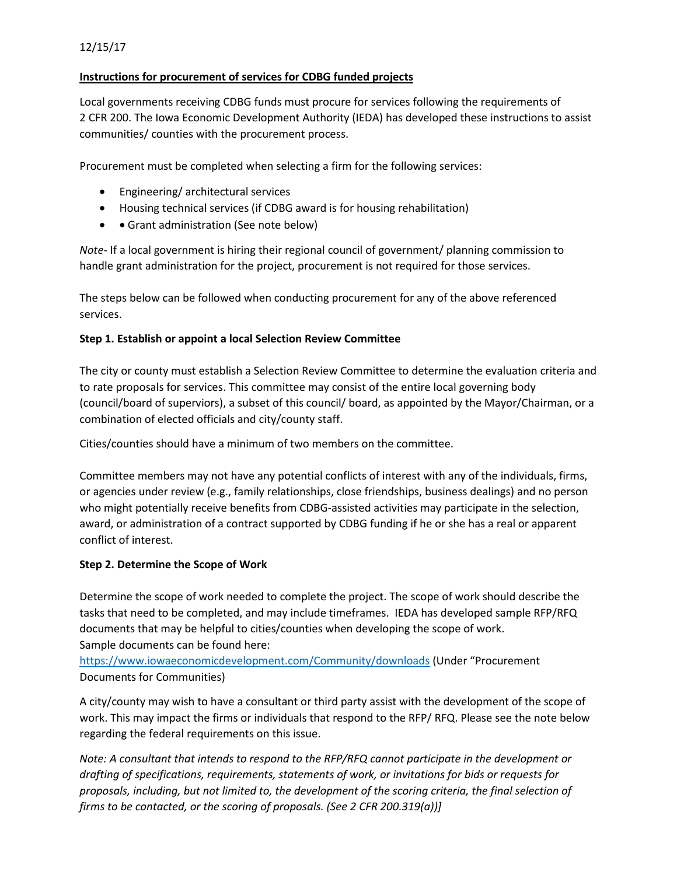# **Instructions for procurement of services for CDBG funded projects**

Local governments receiving CDBG funds must procure for services following the requirements of 2 CFR 200. The Iowa Economic Development Authority (IEDA) has developed these instructions to assist communities/ counties with the procurement process.

Procurement must be completed when selecting a firm for the following services:

- Engineering/ architectural services
- Housing technical services (if CDBG award is for housing rehabilitation)
- • Grant administration (See note below)

*Note*- If a local government is hiring their regional council of government/ planning commission to handle grant administration for the project, procurement is not required for those services.

The steps below can be followed when conducting procurement for any of the above referenced services.

## **Step 1. Establish or appoint a local Selection Review Committee**

The city or county must establish a Selection Review Committee to determine the evaluation criteria and to rate proposals for services. This committee may consist of the entire local governing body (council/board of superviors), a subset of this council/ board, as appointed by the Mayor/Chairman, or a combination of elected officials and city/county staff.

Cities/counties should have a minimum of two members on the committee.

Committee members may not have any potential conflicts of interest with any of the individuals, firms, or agencies under review (e.g., family relationships, close friendships, business dealings) and no person who might potentially receive benefits from CDBG-assisted activities may participate in the selection, award, or administration of a contract supported by CDBG funding if he or she has a real or apparent conflict of interest.

## **Step 2. Determine the Scope of Work**

Determine the scope of work needed to complete the project. The scope of work should describe the tasks that need to be completed, and may include timeframes. IEDA has developed sample RFP/RFQ documents that may be helpful to cities/counties when developing the scope of work. Sample documents can be found here:

<https://www.iowaeconomicdevelopment.com/Community/downloads> (Under "Procurement Documents for Communities)

A city/county may wish to have a consultant or third party assist with the development of the scope of work. This may impact the firms or individuals that respond to the RFP/ RFQ. Please see the note below regarding the federal requirements on this issue.

*Note: A consultant that intends to respond to the RFP/RFQ cannot participate in the development or drafting of specifications, requirements, statements of work, or invitations for bids or requests for proposals, including, but not limited to, the development of the scoring criteria, the final selection of firms to be contacted, or the scoring of proposals. (See 2 CFR 200.319(a))]*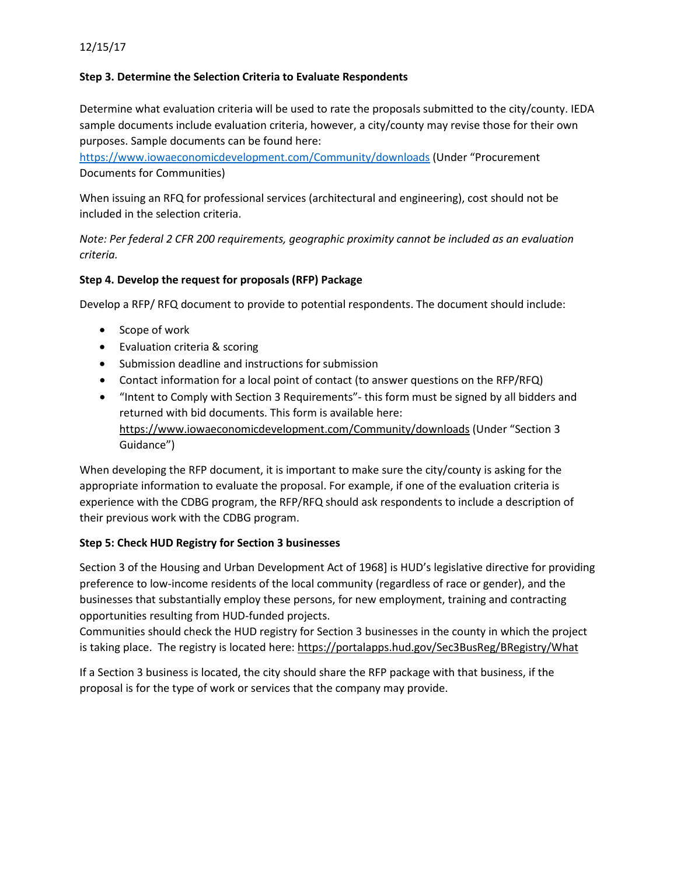#### **Step 3. Determine the Selection Criteria to Evaluate Respondents**

Determine what evaluation criteria will be used to rate the proposals submitted to the city/county. IEDA sample documents include evaluation criteria, however, a city/county may revise those for their own purposes. Sample documents can be found here:

<https://www.iowaeconomicdevelopment.com/Community/downloads> (Under "Procurement Documents for Communities)

When issuing an RFQ for professional services (architectural and engineering), cost should not be included in the selection criteria.

*Note: Per federal 2 CFR 200 requirements, geographic proximity cannot be included as an evaluation criteria.*

## **Step 4. Develop the request for proposals (RFP) Package**

Develop a RFP/ RFQ document to provide to potential respondents. The document should include:

- Scope of work
- Evaluation criteria & scoring
- Submission deadline and instructions for submission
- Contact information for a local point of contact (to answer questions on the RFP/RFQ)
- "Intent to Comply with Section 3 Requirements"- this form must be signed by all bidders and returned with bid documents. This form is available here: <https://www.iowaeconomicdevelopment.com/Community/downloads> (Under "Section 3 Guidance")

When developing the RFP document, it is important to make sure the city/county is asking for the appropriate information to evaluate the proposal. For example, if one of the evaluation criteria is experience with the CDBG program, the RFP/RFQ should ask respondents to include a description of their previous work with the CDBG program.

## **Step 5: Check HUD Registry for Section 3 businesses**

Section 3 of the Housing and Urban Development Act of 1968] is HUD's legislative directive for providing preference to low-income residents of the local community (regardless of race or gender), and the businesses that substantially employ these persons, for new employment, training and contracting opportunities resulting from HUD-funded projects.

Communities should check the HUD registry for Section 3 businesses in the county in which the project is taking place. The registry is located here:<https://portalapps.hud.gov/Sec3BusReg/BRegistry/What>

If a Section 3 business is located, the city should share the RFP package with that business, if the proposal is for the type of work or services that the company may provide.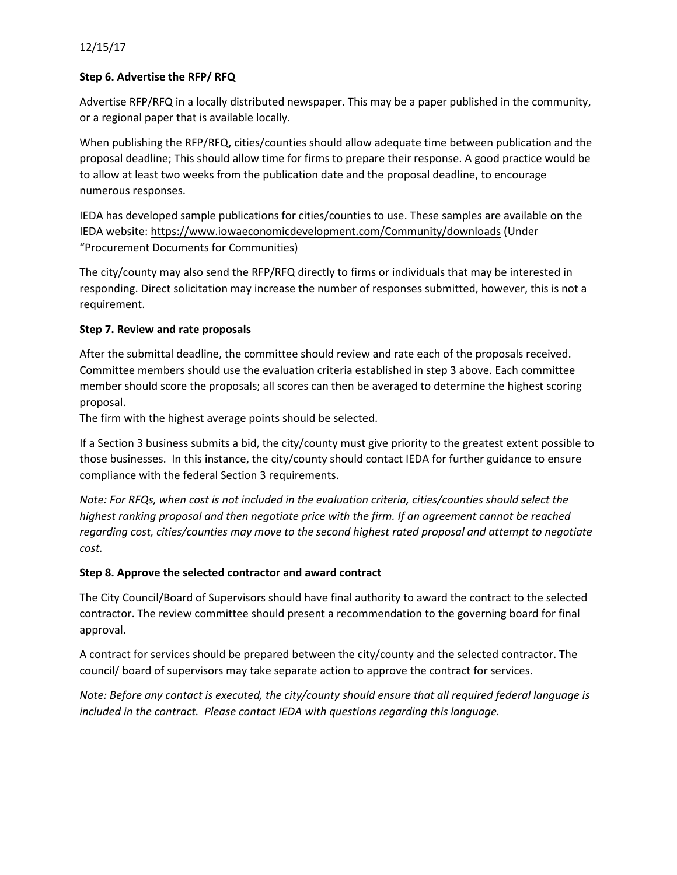## 12/15/17

#### **Step 6. Advertise the RFP/ RFQ**

Advertise RFP/RFQ in a locally distributed newspaper. This may be a paper published in the community, or a regional paper that is available locally.

When publishing the RFP/RFQ, cities/counties should allow adequate time between publication and the proposal deadline; This should allow time for firms to prepare their response. A good practice would be to allow at least two weeks from the publication date and the proposal deadline, to encourage numerous responses.

IEDA has developed sample publications for cities/counties to use. These samples are available on the IEDA website:<https://www.iowaeconomicdevelopment.com/Community/downloads> (Under "Procurement Documents for Communities)

The city/county may also send the RFP/RFQ directly to firms or individuals that may be interested in responding. Direct solicitation may increase the number of responses submitted, however, this is not a requirement.

#### **Step 7. Review and rate proposals**

After the submittal deadline, the committee should review and rate each of the proposals received. Committee members should use the evaluation criteria established in step 3 above. Each committee member should score the proposals; all scores can then be averaged to determine the highest scoring proposal.

The firm with the highest average points should be selected.

If a Section 3 business submits a bid, the city/county must give priority to the greatest extent possible to those businesses. In this instance, the city/county should contact IEDA for further guidance to ensure compliance with the federal Section 3 requirements.

*Note: For RFQs, when cost is not included in the evaluation criteria, cities/counties should select the highest ranking proposal and then negotiate price with the firm. If an agreement cannot be reached regarding cost, cities/counties may move to the second highest rated proposal and attempt to negotiate cost.*

## **Step 8. Approve the selected contractor and award contract**

The City Council/Board of Supervisors should have final authority to award the contract to the selected contractor. The review committee should present a recommendation to the governing board for final approval.

A contract for services should be prepared between the city/county and the selected contractor. The council/ board of supervisors may take separate action to approve the contract for services.

*Note: Before any contact is executed, the city/county should ensure that all required federal language is included in the contract. Please contact IEDA with questions regarding this language.*